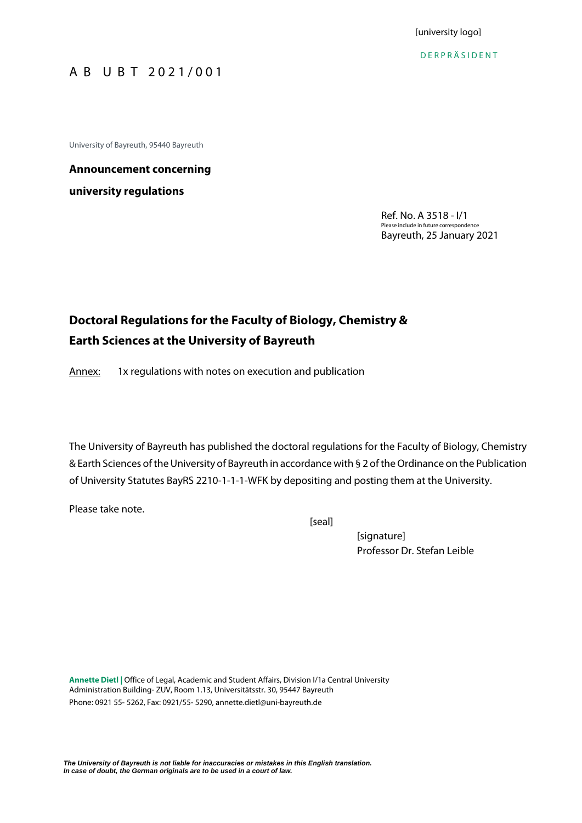[university logo]

D E R P R Ä S I D E N T

# A B U B T 2 0 2 1 / 0 0 1

University of Bayreuth, 95440 Bayreuth

# **Announcement concerning university regulations**

Ref. No. A 3518 - I/1 Please include in future correspondence Bayreuth, 25 January 2021

# **Doctoral Regulations for the Faculty of Biology, Chemistry & Earth Sciences at the University of Bayreuth**

Annex: 1x regulations with notes on execution and publication

The University of Bayreuth has published the doctoral regulations for the Faculty of Biology, Chemistry & Earth Sciences of the University of Bayreuth in accordance with § 2 of the Ordinance on the Publication of University Statutes BayRS 2210-1-1-1-WFK by depositing and posting them at the University.

Please take note.

[seal]

[signature] Professor Dr. Stefan Leible

**Annette Dietl |** Office of Legal, Academic and Student Affairs, Division I/1a Central University Administration Building- ZUV, Room 1.13, Universitätsstr. 30, 95447 Bayreuth Phone: 0921 55- 5262, Fax: 0921/55- 5290, [annette.dietl@uni-bayreuth.de](mailto:annette.dietl@uni-bayreuth.de)

*The University of Bayreuth is not liable for inaccuracies or mistakes in this English translation. In case of doubt, the German originals are to be used in a court of law.*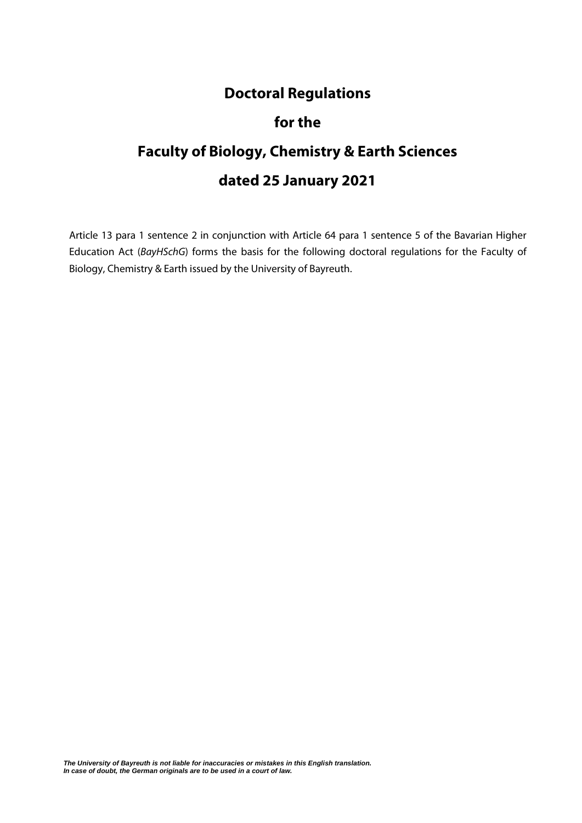# **Doctoral Regulations**

# **for the**

# **Faculty of Biology, Chemistry & Earth Sciences dated 25 January 2021**

Article 13 para 1 sentence 2 in conjunction with Article 64 para 1 sentence 5 of the Bavarian Higher Education Act (*BayHSchG*) forms the basis for the following doctoral regulations for the Faculty of Biology, Chemistry & Earth issued by the University of Bayreuth.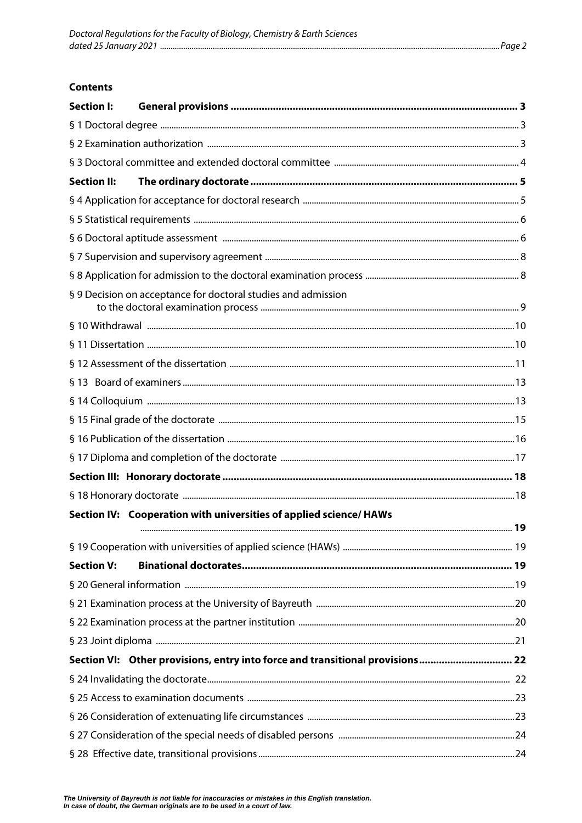#### **Contents**

| <b>Section I:</b>  |                                                                               |  |  |  |  |
|--------------------|-------------------------------------------------------------------------------|--|--|--|--|
|                    |                                                                               |  |  |  |  |
|                    |                                                                               |  |  |  |  |
|                    |                                                                               |  |  |  |  |
| <b>Section II:</b> |                                                                               |  |  |  |  |
|                    |                                                                               |  |  |  |  |
|                    |                                                                               |  |  |  |  |
|                    |                                                                               |  |  |  |  |
|                    |                                                                               |  |  |  |  |
|                    |                                                                               |  |  |  |  |
|                    | § 9 Decision on acceptance for doctoral studies and admission                 |  |  |  |  |
|                    |                                                                               |  |  |  |  |
|                    |                                                                               |  |  |  |  |
|                    |                                                                               |  |  |  |  |
|                    |                                                                               |  |  |  |  |
|                    |                                                                               |  |  |  |  |
|                    |                                                                               |  |  |  |  |
|                    |                                                                               |  |  |  |  |
|                    |                                                                               |  |  |  |  |
|                    |                                                                               |  |  |  |  |
|                    |                                                                               |  |  |  |  |
|                    | Section IV: Cooperation with universities of applied science/ HAWs            |  |  |  |  |
|                    |                                                                               |  |  |  |  |
|                    |                                                                               |  |  |  |  |
| <b>Section V:</b>  |                                                                               |  |  |  |  |
|                    |                                                                               |  |  |  |  |
|                    |                                                                               |  |  |  |  |
|                    |                                                                               |  |  |  |  |
|                    |                                                                               |  |  |  |  |
|                    | Section VI: Other provisions, entry into force and transitional provisions 22 |  |  |  |  |
|                    |                                                                               |  |  |  |  |
|                    |                                                                               |  |  |  |  |
|                    |                                                                               |  |  |  |  |
|                    |                                                                               |  |  |  |  |
|                    |                                                                               |  |  |  |  |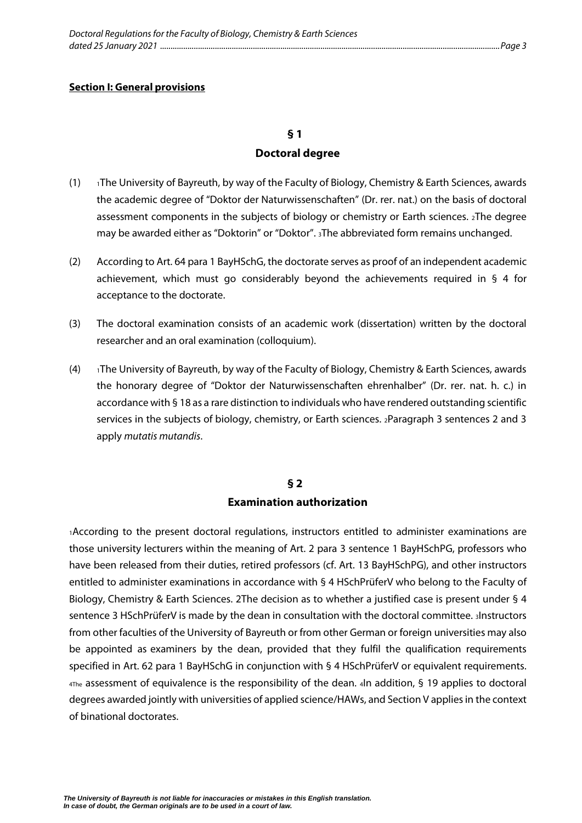#### **Doctoral degree**

- <span id="page-4-1"></span><span id="page-4-0"></span>(1)  $\rightarrow$  1The University of Bayreuth, by way of the Faculty of Biology, Chemistry & Earth Sciences, awards the academic degree of "Doktor der Naturwissenschaften" (Dr. rer. nat.) on the basis of doctoral assessment components in the subjects of biology or chemistry or Earth sciences. 2The degree may be awarded either as "Doktorin" or "Doktor". 3The abbreviated form remains unchanged.
- (2) According to Art. 64 para 1 BayHSchG, the doctorate serves as proof of an independent academic achievement, which must go considerably beyond the achievements required in § 4 for acceptance to the doctorate.
- (3) The doctoral examination consists of an academic work (dissertation) written by the doctoral researcher and an oral examination (colloquium).
- (4) 1The University of Bayreuth, by way of the Faculty of Biology, Chemistry & Earth Sciences, awards the honorary degree of "Doktor der Naturwissenschaften ehrenhalber" (Dr. rer. nat. h. c.) in accordance with § 18 as a rare distinction to individuals who have rendered outstanding scientific services in the subjects of biology, chemistry, or Earth sciences. 2Paragraph 3 sentences 2 and 3 apply *mutatis mutandis*.

#### **§ 2**

#### **Examination authorization**

<span id="page-4-2"></span>1According to the present doctoral regulations, instructors entitled to administer examinations are those university lecturers within the meaning of Art. 2 para 3 sentence 1 BayHSchPG, professors who have been released from their duties, retired professors (cf. Art. 13 BayHSchPG), and other instructors entitled to administer examinations in accordance with § 4 HSchPrüferV who belong to the Faculty of Biology, Chemistry & Earth Sciences. 2The decision as to whether a justified case is present under § 4 sentence 3 HSchPrüferV is made by the dean in consultation with the doctoral committee. 3Instructors from other faculties of the University of Bayreuth or from other German or foreign universities may also be appointed as examiners by the dean, provided that they fulfil the qualification requirements specified in Art. 62 para 1 BayHSchG in conjunction with § 4 HSchPrüferV or equivalent requirements. 4The assessment of equivalence is the responsibility of the dean. 4In addition, § 19 applies to doctoral degrees awarded jointly with universities of applied science/HAWs, and Section V applies in the context of binational doctorates.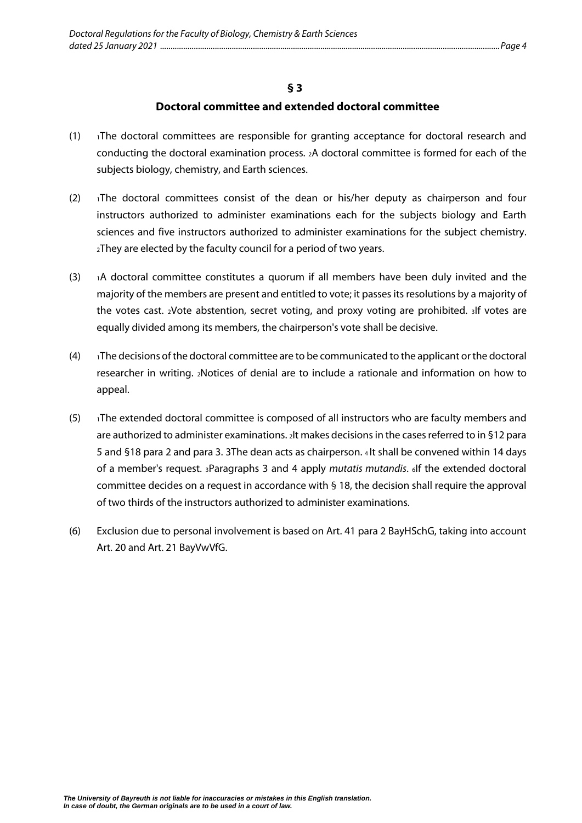#### **Doctoral committee and extended doctoral committee**

- <span id="page-5-0"></span> $(1)$  1The doctoral committees are responsible for granting acceptance for doctoral research and conducting the doctoral examination process. 2A doctoral committee is formed for each of the subjects biology, chemistry, and Earth sciences.
- $(2)$  1The doctoral committees consist of the dean or his/her deputy as chairperson and four instructors authorized to administer examinations each for the subjects biology and Earth sciences and five instructors authorized to administer examinations for the subject chemistry. 2They are elected by the faculty council for a period of two years.
- $(3)$  1A doctoral committee constitutes a quorum if all members have been duly invited and the majority of the members are present and entitled to vote; it passes its resolutions by a majority of the votes cast. 2Vote abstention, secret voting, and proxy voting are prohibited. 3If votes are equally divided among its members, the chairperson's vote shall be decisive.
- $(4)$  1The decisions of the doctoral committee are to be communicated to the applicant or the doctoral researcher in writing. 2Notices of denial are to include a rationale and information on how to appeal.
- (5) 1The extended doctoral committee is composed of all instructors who are faculty members and are authorized to administer examinations. 2lt makes decisions in the cases referred to in §12 para 5 and §18 para 2 and para 3. 3The dean acts as chairperson. 4 It shall be convened within 14 days of a member's request. 3Paragraphs 3 and 4 apply *mutatis mutandis*. 6If the extended doctoral committee decides on a request in accordance with § 18, the decision shall require the approval of two thirds of the instructors authorized to administer examinations.
- (6) Exclusion due to personal involvement is based on Art. 41 para 2 BayHSchG, taking into account Art. 20 and Art. 21 BayVwVfG.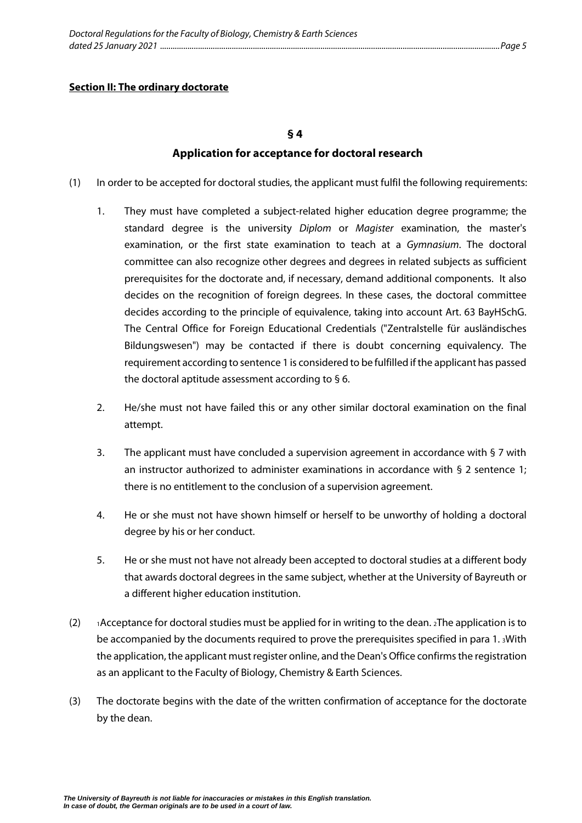#### <span id="page-6-1"></span><span id="page-6-0"></span>**Section II: The ordinary doctorate**

#### **§ 4**

#### **Application for acceptance for doctoral research**

- (1) In order to be accepted for doctoral studies, the applicant must fulfil the following requirements:
	- 1. They must have completed a subject-related higher education degree programme; the standard degree is the university *Diplom* or *Magister* examination, the master's examination, or the first state examination to teach at a *Gymnasium*. The doctoral committee can also recognize other degrees and degrees in related subjects as sufficient prerequisites for the doctorate and, if necessary, demand additional components. It also decides on the recognition of foreign degrees. In these cases, the doctoral committee decides according to the principle of equivalence, taking into account Art. 63 BayHSchG. The Central Office for Foreign Educational Credentials ("Zentralstelle für ausländisches Bildungswesen") may be contacted if there is doubt concerning equivalency. The requirement according to sentence 1 is considered to be fulfilled if the applicant has passed the doctoral aptitude assessment according to § 6.
	- 2. He/she must not have failed this or any other similar doctoral examination on the final attempt.
	- 3. The applicant must have concluded a supervision agreement in accordance with § 7 with an instructor authorized to administer examinations in accordance with § 2 sentence 1; there is no entitlement to the conclusion of a supervision agreement.
	- 4. He or she must not have shown himself or herself to be unworthy of holding a doctoral degree by his or her conduct.
	- 5. He or she must not have not already been accepted to doctoral studies at a different body that awards doctoral degrees in the same subject, whether at the University of Bayreuth or a different higher education institution.
- (2) 1Acceptance for doctoral studies must be applied for in writing to the dean.  $2$ The application is to be accompanied by the documents required to prove the prerequisites specified in para 1. 3With the application, the applicant must register online, and the Dean's Office confirms the registration as an applicant to the Faculty of Biology, Chemistry & Earth Sciences.
- (3) The doctorate begins with the date of the written confirmation of acceptance for the doctorate by the dean.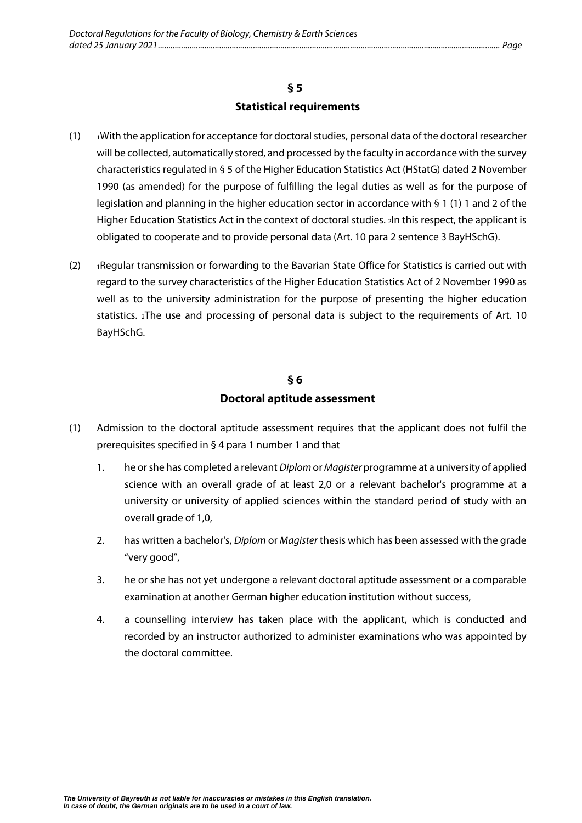### **§ 5 Statistical requirements**

- <span id="page-7-0"></span> $(1)$  IWith the application for acceptance for doctoral studies, personal data of the doctoral researcher will be collected, automatically stored, and processed by the faculty in accordance with the survey characteristics regulated in § 5 of the Higher Education Statistics Act (HStatG) dated 2 November 1990 (as amended) for the purpose of fulfilling the legal duties as well as for the purpose of legislation and planning in the higher education sector in accordance with § 1 (1) 1 and 2 of the Higher Education Statistics Act in the context of doctoral studies. 2In this respect, the applicant is obligated to cooperate and to provide personal data (Art. 10 para 2 sentence 3 BayHSchG).
- (2) 1Regular transmission or forwarding to the Bavarian State Office for Statistics is carried out with regard to the survey characteristics of the Higher Education Statistics Act of 2 November 1990 as well as to the university administration for the purpose of presenting the higher education statistics. 2The use and processing of personal data is subject to the requirements of Art. 10 BayHSchG.

# **§ 6 Doctoral aptitude assessment**

- <span id="page-7-1"></span>(1) Admission to the doctoral aptitude assessment requires that the applicant does not fulfil the prerequisites specified in § 4 para 1 number 1 and that
	- 1. he or she has completed a relevant *Diplom* or *Magister* programme at a university of applied science with an overall grade of at least 2,0 or a relevant bachelor's programme at a university or university of applied sciences within the standard period of study with an overall grade of 1,0,
	- 2. has written a bachelor's, *Diplom* or *Magister* thesis which has been assessed with the grade "very good",
	- 3. he or she has not yet undergone a relevant doctoral aptitude assessment or a comparable examination at another German higher education institution without success,
	- 4. a counselling interview has taken place with the applicant, which is conducted and recorded by an instructor authorized to administer examinations who was appointed by the doctoral committee.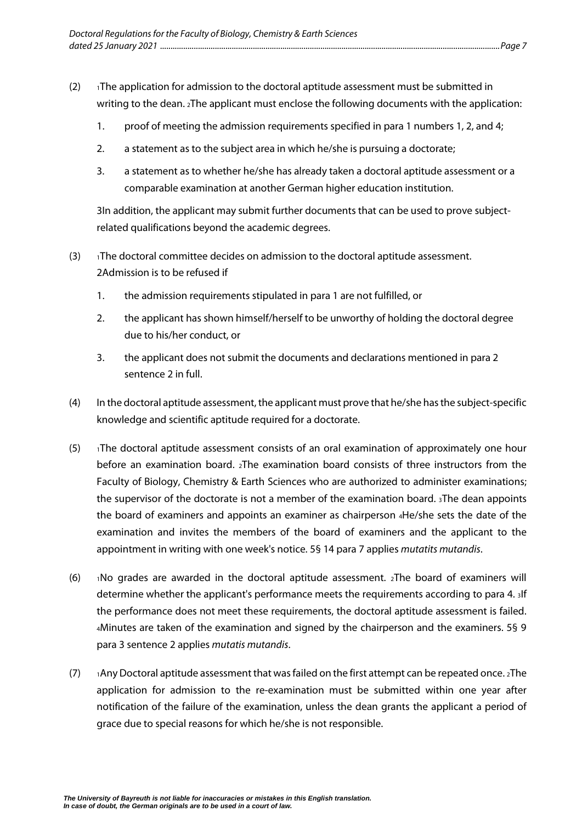- (2)  $\blacksquare$  1The application for admission to the doctoral aptitude assessment must be submitted in writing to the dean. 2The applicant must enclose the following documents with the application:
	- 1. proof of meeting the admission requirements specified in para 1 numbers 1, 2, and 4;
	- 2. a statement as to the subject area in which he/she is pursuing a doctorate;
	- 3. a statement as to whether he/she has already taken a doctoral aptitude assessment or a comparable examination at another German higher education institution.

3In addition, the applicant may submit further documents that can be used to prove subjectrelated qualifications beyond the academic degrees.

- $(3)$  1The doctoral committee decides on admission to the doctoral aptitude assessment. 2Admission is to be refused if
	- 1. the admission requirements stipulated in para 1 are not fulfilled, or
	- 2. the applicant has shown himself/herself to be unworthy of holding the doctoral degree due to his/her conduct, or
	- 3. the applicant does not submit the documents and declarations mentioned in para 2 sentence 2 in full.
- (4) In the doctoral aptitude assessment, the applicant must prove that he/she has the subject-specific knowledge and scientific aptitude required for a doctorate.
- $(5)$  1The doctoral aptitude assessment consists of an oral examination of approximately one hour before an examination board. 2The examination board consists of three instructors from the Faculty of Biology, Chemistry & Earth Sciences who are authorized to administer examinations; the supervisor of the doctorate is not a member of the examination board. 3The dean appoints the board of examiners and appoints an examiner as chairperson 4He/she sets the date of the examination and invites the members of the board of examiners and the applicant to the appointment in writing with one week's notice. 5§ 14 para 7 applies *mutatits mutandis*.
- (6)  $\cdot$  No grades are awarded in the doctoral aptitude assessment.  $_2$ The board of examiners will determine whether the applicant's performance meets the requirements according to para 4. 3If the performance does not meet these requirements, the doctoral aptitude assessment is failed. 4Minutes are taken of the examination and signed by the chairperson and the examiners. 5§ 9 para 3 sentence 2 applies *mutatis mutandis*.
- (7) 1Any Doctoral aptitude assessment that was failed on the first attempt can be repeated once. 2The application for admission to the re-examination must be submitted within one year after notification of the failure of the examination, unless the dean grants the applicant a period of grace due to special reasons for which he/she is not responsible.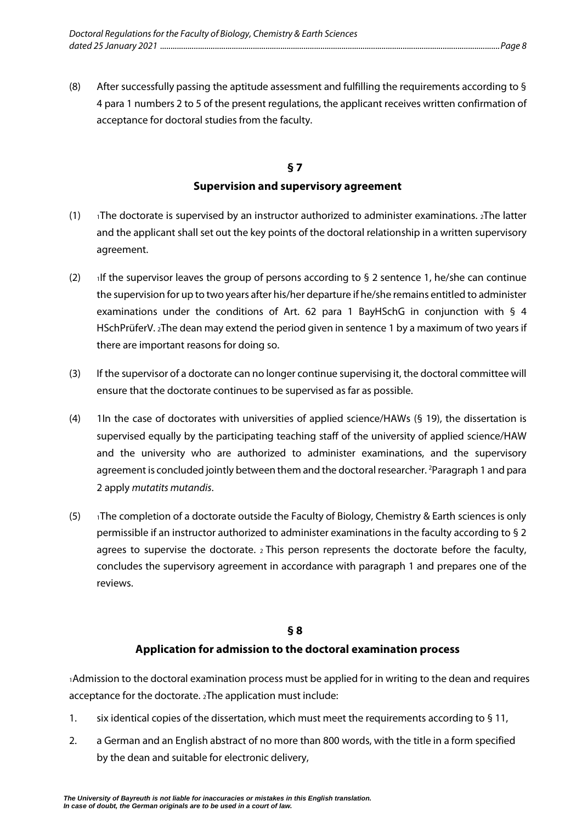(8) After successfully passing the aptitude assessment and fulfilling the requirements according to § 4 para 1 numbers 2 to 5 of the present regulations, the applicant receives written confirmation of acceptance for doctoral studies from the faculty.

## **§ 7 Supervision and supervisory agreement**

- <span id="page-9-0"></span>(1)  $\rightarrow$  1The doctorate is supervised by an instructor authorized to administer examinations. 2The latter and the applicant shall set out the key points of the doctoral relationship in a written supervisory agreement.
- (2) If the supervisor leaves the group of persons according to § 2 sentence 1, he/she can continue the supervision for up to two years after his/her departure if he/she remains entitled to administer examinations under the conditions of Art. 62 para 1 BayHSchG in conjunction with § 4 HSchPrüferV. 2The dean may extend the period given in sentence 1 by a maximum of two years if there are important reasons for doing so.
- (3) If the supervisor of a doctorate can no longer continue supervising it, the doctoral committee will ensure that the doctorate continues to be supervised as far as possible.
- (4) 1In the case of doctorates with universities of applied science/HAWs (§ 19), the dissertation is supervised equally by the participating teaching staff of the university of applied science/HAW and the university who are authorized to administer examinations, and the supervisory agreement is concluded jointly between them and the doctoral researcher. <sup>2</sup>Paragraph 1 and para 2 apply *mutatits mutandis*.
- (5)  $\rightarrow$  1The completion of a doctorate outside the Faculty of Biology, Chemistry & Earth sciences is only permissible if an instructor authorized to administer examinations in the faculty according to § 2 agrees to supervise the doctorate.  $2$  This person represents the doctorate before the faculty, concludes the supervisory agreement in accordance with paragraph 1 and prepares one of the reviews.

#### **§ 8**

### **Application for admission to the doctoral examination process**

<span id="page-9-1"></span>1Admission to the doctoral examination process must be applied for in writing to the dean and requires acceptance for the doctorate. 2The application must include:

- 1. six identical copies of the dissertation, which must meet the requirements according to § 11,
- 2. a German and an English abstract of no more than 800 words, with the title in a form specified by the dean and suitable for electronic delivery,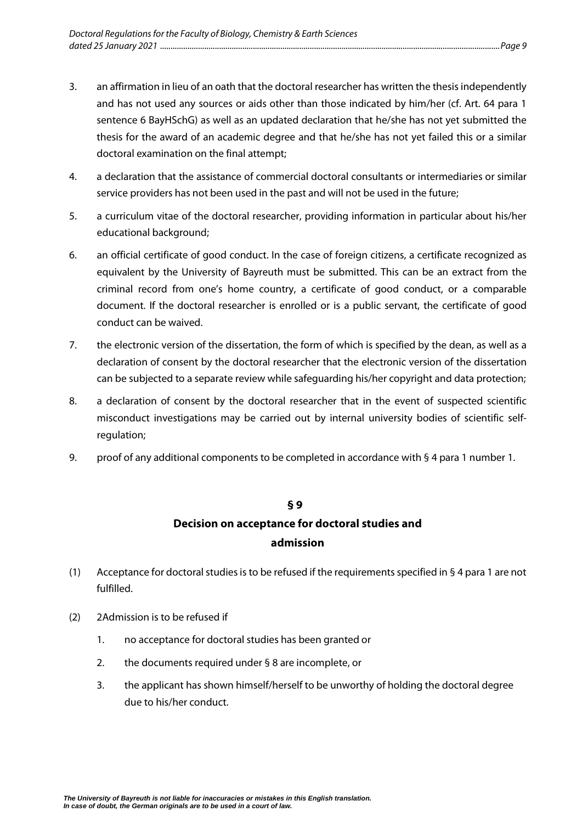- 3. an affirmation in lieu of an oath that the doctoral researcher has written the thesis independently and has not used any sources or aids other than those indicated by him/her (cf. Art. 64 para 1 sentence 6 BayHSchG) as well as an updated declaration that he/she has not yet submitted the thesis for the award of an academic degree and that he/she has not yet failed this or a similar doctoral examination on the final attempt;
- 4. a declaration that the assistance of commercial doctoral consultants or intermediaries or similar service providers has not been used in the past and will not be used in the future;
- 5. a curriculum vitae of the doctoral researcher, providing information in particular about his/her educational background;
- 6. an official certificate of good conduct. In the case of foreign citizens, a certificate recognized as equivalent by the University of Bayreuth must be submitted. This can be an extract from the criminal record from one's home country, a certificate of good conduct, or a comparable document. If the doctoral researcher is enrolled or is a public servant, the certificate of good conduct can be waived.
- 7. the electronic version of the dissertation, the form of which is specified by the dean, as well as a declaration of consent by the doctoral researcher that the electronic version of the dissertation can be subjected to a separate review while safeguarding his/her copyright and data protection;
- 8. a declaration of consent by the doctoral researcher that in the event of suspected scientific misconduct investigations may be carried out by internal university bodies of scientific selfregulation;
- <span id="page-10-0"></span>9. proof of any additional components to be completed in accordance with § 4 para 1 number 1.

# **§ 9 Decision on acceptance for doctoral studies and admission**

- (1) Acceptance for doctoral studies is to be refused if the requirements specified in § 4 para 1 are not fulfilled.
- (2) 2Admission is to be refused if
	- 1. no acceptance for doctoral studies has been granted or
	- 2. the documents required under § 8 are incomplete, or
	- 3. the applicant has shown himself/herself to be unworthy of holding the doctoral degree due to his/her conduct.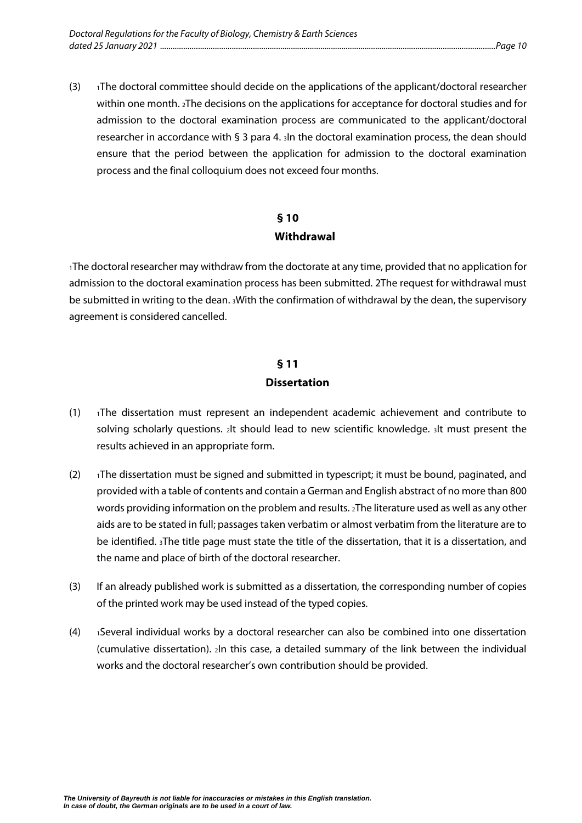(3) 1The doctoral committee should decide on the applications of the applicant/doctoral researcher within one month. 2The decisions on the applications for acceptance for doctoral studies and for admission to the doctoral examination process are communicated to the applicant/doctoral researcher in accordance with § 3 para 4. 3In the doctoral examination process, the dean should ensure that the period between the application for admission to the doctoral examination process and the final colloquium does not exceed four months.

# **§ 10 Withdrawal**

<span id="page-11-0"></span>1The doctoral researcher may withdraw from the doctorate at any time, provided that no application for admission to the doctoral examination process has been submitted. 2The request for withdrawal must be submitted in writing to the dean. 3With the confirmation of withdrawal by the dean, the supervisory agreement is considered cancelled.

# **§ 11 Dissertation**

- <span id="page-11-1"></span> $(1)$  <sup>1</sup>The dissertation must represent an independent academic achievement and contribute to solving scholarly questions. 2It should lead to new scientific knowledge. 3It must present the results achieved in an appropriate form.
- (2)  $\rightarrow$  1The dissertation must be signed and submitted in typescript; it must be bound, paginated, and provided with a table of contents and contain a German and English abstract of no more than 800 words providing information on the problem and results. 2The literature used as well as any other aids are to be stated in full; passages taken verbatim or almost verbatim from the literature are to be identified. 3The title page must state the title of the dissertation, that it is a dissertation, and the name and place of birth of the doctoral researcher.
- (3) If an already published work is submitted as a dissertation, the corresponding number of copies of the printed work may be used instead of the typed copies.
- (4) 1Several individual works by a doctoral researcher can also be combined into one dissertation (cumulative dissertation). 2In this case, a detailed summary of the link between the individual works and the doctoral researcher's own contribution should be provided.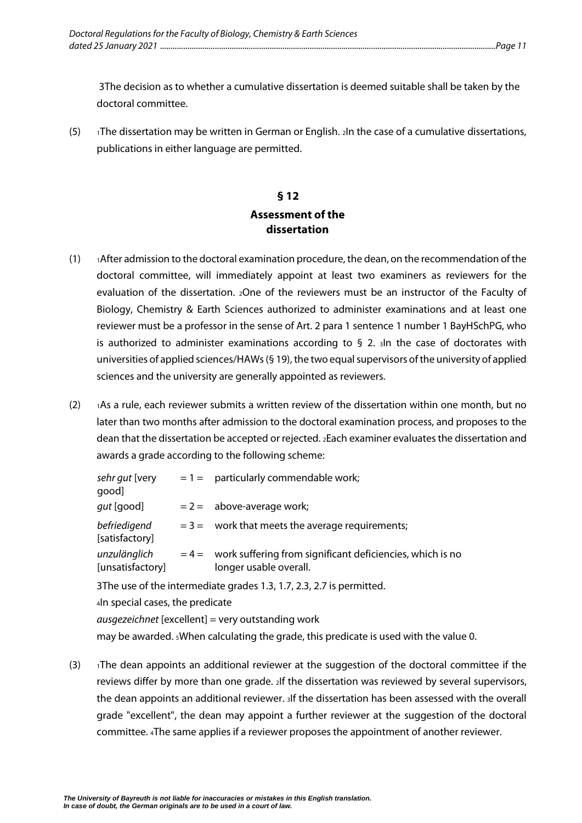3The decision as to whether a cumulative dissertation is deemed suitable shall be taken by the doctoral committee.

<span id="page-12-0"></span>(5) 1The dissertation may be written in German or English.  $2\ln \ln \cosh a$  cumulative dissertations, publications in either language are permitted.

### **§ 12 Assessment of the dissertation**

- $(1)$   $\rightarrow$  1After admission to the doctoral examination procedure, the dean, on the recommendation of the doctoral committee, will immediately appoint at least two examiners as reviewers for the evaluation of the dissertation. 2One of the reviewers must be an instructor of the Faculty of Biology, Chemistry & Earth Sciences authorized to administer examinations and at least one reviewer must be a professor in the sense of Art. 2 para 1 sentence 1 number 1 BayHSchPG, who is authorized to administer examinations according to  $\S$  2.  $\delta$  and the case of doctorates with universities of applied sciences/HAWs (§ 19), the two equal supervisors of the university of applied sciences and the university are generally appointed as reviewers.
- (2) 1As a rule, each reviewer submits a written review of the dissertation within one month, but no later than two months after admission to the doctoral examination process, and proposes to the dean that the dissertation be accepted or rejected. 2Each examiner evaluates the dissertation and awards a grade according to the following scheme:

| sehr gut [very<br>[qood          | $= 1 =$ particularly commendable work;                                                      |
|----------------------------------|---------------------------------------------------------------------------------------------|
| <i>gut</i> [good]                | $= 2 = 2$ above-average work;                                                               |
| befriedigend<br>[satisfactory]   | $=$ 3 = work that meets the average requirements;                                           |
| unzulänglich<br>[unsatisfactory] | $= 4 =$ work suffering from significant deficiencies, which is no<br>longer usable overall. |
|                                  |                                                                                             |

3The use of the intermediate grades 1.3, 1.7, 2.3, 2.7 is permitted.

4In special cases, the predicate

*ausgezeichnet* [excellent] = very outstanding work

may be awarded. 5When calculating the grade, this predicate is used with the value 0.

 $(3)$  1The dean appoints an additional reviewer at the suggestion of the doctoral committee if the reviews differ by more than one grade. 2If the dissertation was reviewed by several supervisors, the dean appoints an additional reviewer. 3If the dissertation has been assessed with the overall grade "excellent", the dean may appoint a further reviewer at the suggestion of the doctoral committee. 4The same applies if a reviewer proposes the appointment of another reviewer.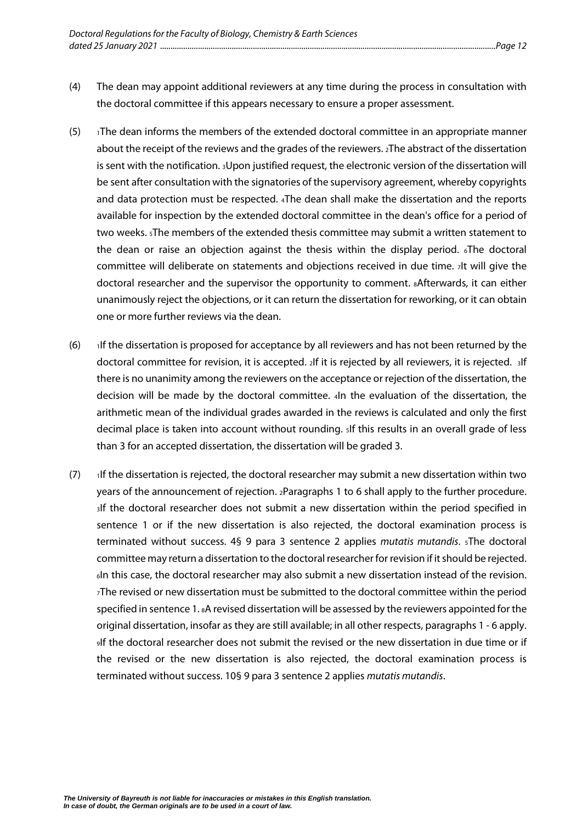- (4) The dean may appoint additional reviewers at any time during the process in consultation with the doctoral committee if this appears necessary to ensure a proper assessment.
- $(5)$  1The dean informs the members of the extended doctoral committee in an appropriate manner about the receipt of the reviews and the grades of the reviewers. 2The abstract of the dissertation is sent with the notification. 3Upon justified request, the electronic version of the dissertation will be sent after consultation with the signatories of the supervisory agreement, whereby copyrights and data protection must be respected. 4The dean shall make the dissertation and the reports available for inspection by the extended doctoral committee in the dean's office for a period of two weeks. 5The members of the extended thesis committee may submit a written statement to the dean or raise an objection against the thesis within the display period. The doctoral committee will deliberate on statements and objections received in due time. 7It will give the doctoral researcher and the supervisor the opportunity to comment. 8Afterwards, it can either unanimously reject the objections, or it can return the dissertation for reworking, or it can obtain one or more further reviews via the dean.
- (6) 1If the dissertation is proposed for acceptance by all reviewers and has not been returned by the doctoral committee for revision, it is accepted. 2If it is rejected by all reviewers, it is rejected. 3If there is no unanimity among the reviewers on the acceptance or rejection of the dissertation, the decision will be made by the doctoral committee. 4In the evaluation of the dissertation, the arithmetic mean of the individual grades awarded in the reviews is calculated and only the first decimal place is taken into account without rounding. 5If this results in an overall grade of less than 3 for an accepted dissertation, the dissertation will be graded 3.
- (7) 1If the dissertation is rejected, the doctoral researcher may submit a new dissertation within two years of the announcement of rejection. 2Paragraphs 1 to 6 shall apply to the further procedure. 3If the doctoral researcher does not submit a new dissertation within the period specified in sentence 1 or if the new dissertation is also rejected, the doctoral examination process is terminated without success. 4§ 9 para 3 sentence 2 applies *mutatis mutandis*. 5The doctoral committee may return a dissertation to the doctoral researcher for revision if it should be rejected. 6In this case, the doctoral researcher may also submit a new dissertation instead of the revision. 7The revised or new dissertation must be submitted to the doctoral committee within the period specified in sentence 1. 8A revised dissertation will be assessed by the reviewers appointed for the original dissertation, insofar as they are still available; in all other respects, paragraphs 1 - 6 apply. 9If the doctoral researcher does not submit the revised or the new dissertation in due time or if the revised or the new dissertation is also rejected, the doctoral examination process is terminated without success. 10§ 9 para 3 sentence 2 applies *mutatis mutandis*.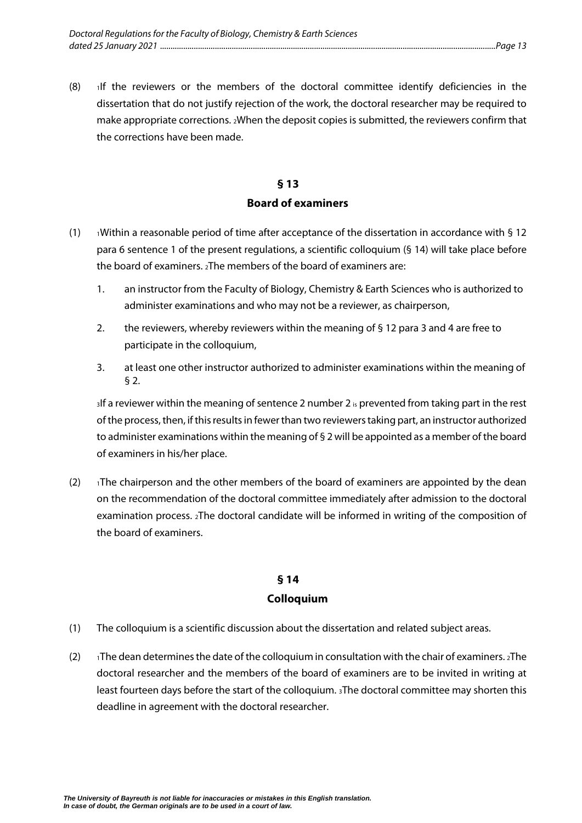$(8)$  1If the reviewers or the members of the doctoral committee identify deficiencies in the dissertation that do not justify rejection of the work, the doctoral researcher may be required to make appropriate corrections. 2When the deposit copies is submitted, the reviewers confirm that the corrections have been made.

### **§ 13**

#### **Board of examiners**

- <span id="page-14-0"></span>(1)  $\rightarrow$  1Within a reasonable period of time after acceptance of the dissertation in accordance with § 12 para 6 sentence 1 of the present regulations, a scientific colloquium (§ 14) will take place before the board of examiners. 2The members of the board of examiners are:
	- 1. an instructor from the Faculty of Biology, Chemistry & Earth Sciences who is authorized to administer examinations and who may not be a reviewer, as chairperson,
	- 2. the reviewers, whereby reviewers within the meaning of § 12 para 3 and 4 are free to participate in the colloquium,
	- 3. at least one other instructor authorized to administer examinations within the meaning of § 2.

 $3$ If a reviewer within the meaning of sentence 2 number 2  $\frac{1}{10}$  prevented from taking part in the rest of the process, then, if this results in fewer than two reviewers taking part, an instructor authorized to administer examinations within the meaning of § 2 will be appointed as a member of the board of examiners in his/her place.

(2)  $\blacksquare$  1The chairperson and the other members of the board of examiners are appointed by the dean on the recommendation of the doctoral committee immediately after admission to the doctoral examination process. 2The doctoral candidate will be informed in writing of the composition of the board of examiners.

#### **§ 14**

#### **Colloquium**

- <span id="page-14-1"></span>(1) The colloquium is a scientific discussion about the dissertation and related subject areas.
- (2)  $\blacksquare$  The dean determines the date of the colloquium in consultation with the chair of examiners. 2The doctoral researcher and the members of the board of examiners are to be invited in writing at least fourteen days before the start of the colloquium. 3The doctoral committee may shorten this deadline in agreement with the doctoral researcher.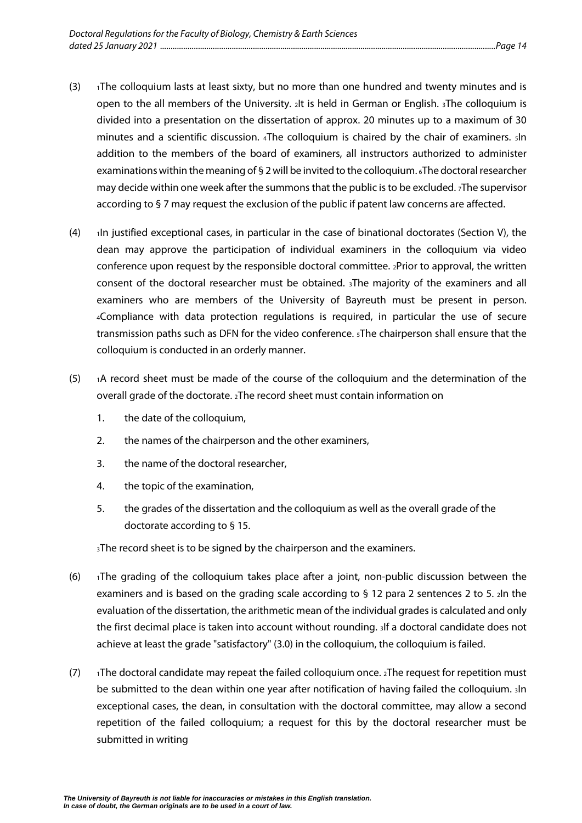- (3)  $\rightarrow$  1The colloquium lasts at least sixty, but no more than one hundred and twenty minutes and is open to the all members of the University. 2It is held in German or English. 3The colloquium is divided into a presentation on the dissertation of approx. 20 minutes up to a maximum of 30 minutes and a scientific discussion. 4The colloquium is chaired by the chair of examiners. 5In addition to the members of the board of examiners, all instructors authorized to administer examinations within the meaning of § 2 will be invited to the colloquium. 6The doctoral researcher may decide within one week after the summons that the public is to be excluded. 7The supervisor according to § 7 may request the exclusion of the public if patent law concerns are affected.
- $(4)$  1In justified exceptional cases, in particular in the case of binational doctorates (Section V), the dean may approve the participation of individual examiners in the colloquium via video conference upon request by the responsible doctoral committee. 2Prior to approval, the written consent of the doctoral researcher must be obtained. 3The majority of the examiners and all examiners who are members of the University of Bayreuth must be present in person. 4Compliance with data protection regulations is required, in particular the use of secure transmission paths such as DFN for the video conference. 5The chairperson shall ensure that the colloquium is conducted in an orderly manner.
- $(5)$  1A record sheet must be made of the course of the colloquium and the determination of the overall grade of the doctorate. 2The record sheet must contain information on
	- 1. the date of the colloquium,
	- 2. the names of the chairperson and the other examiners,
	- 3. the name of the doctoral researcher,
	- 4. the topic of the examination,
	- 5. the grades of the dissertation and the colloquium as well as the overall grade of the doctorate according to § 15.

3The record sheet is to be signed by the chairperson and the examiners.

- $(6)$  1The grading of the colloquium takes place after a joint, non-public discussion between the examiners and is based on the grading scale according to § 12 para 2 sentences 2 to 5. 2In the evaluation of the dissertation, the arithmetic mean of the individual grades is calculated and only the first decimal place is taken into account without rounding. 3If a doctoral candidate does not achieve at least the grade "satisfactory" (3.0) in the colloquium, the colloquium is failed.
- (7)  $\rightarrow$  1The doctoral candidate may repeat the failed colloquium once.  $2$ The request for repetition must be submitted to the dean within one year after notification of having failed the colloquium. 3In exceptional cases, the dean, in consultation with the doctoral committee, may allow a second repetition of the failed colloquium; a request for this by the doctoral researcher must be submitted in writing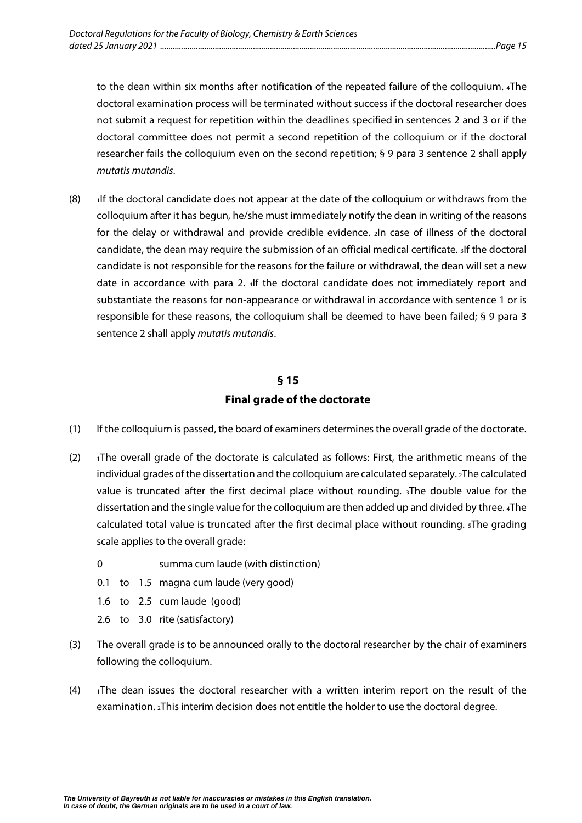to the dean within six months after notification of the repeated failure of the colloquium. 4The doctoral examination process will be terminated without success if the doctoral researcher does not submit a request for repetition within the deadlines specified in sentences 2 and 3 or if the doctoral committee does not permit a second repetition of the colloquium or if the doctoral researcher fails the colloquium even on the second repetition; § 9 para 3 sentence 2 shall apply *mutatis mutandis*.

 $(8)$  1If the doctoral candidate does not appear at the date of the colloquium or withdraws from the colloquium after it has begun, he/she must immediately notify the dean in writing of the reasons for the delay or withdrawal and provide credible evidence. 2In case of illness of the doctoral candidate, the dean may require the submission of an official medical certificate. 3If the doctoral candidate is not responsible for the reasons for the failure or withdrawal, the dean will set a new date in accordance with para 2. 4If the doctoral candidate does not immediately report and substantiate the reasons for non-appearance or withdrawal in accordance with sentence 1 or is responsible for these reasons, the colloquium shall be deemed to have been failed; § 9 para 3 sentence 2 shall apply *mutatis mutandis*.

#### **§ 15**

#### **Final grade of the doctorate**

- <span id="page-16-0"></span>(1) If the colloquium is passed, the board of examiners determines the overall grade of the doctorate.
- $(2)$  1The overall grade of the doctorate is calculated as follows: First, the arithmetic means of the individual grades of the dissertation and the colloquium are calculated separately. 2The calculated value is truncated after the first decimal place without rounding. 3The double value for the dissertation and the single value for the colloquium are then added up and divided by three. 4The calculated total value is truncated after the first decimal place without rounding. 5The grading scale applies to the overall grade:
	- 0 summa cum laude (with distinction)
	- 0.1 to 1.5 magna cum laude (very good)
	- 1.6 to 2.5 cum laude (good)
	- 2.6 to 3.0 rite (satisfactory)
- (3) The overall grade is to be announced orally to the doctoral researcher by the chair of examiners following the colloquium.
- $(4)$  1The dean issues the doctoral researcher with a written interim report on the result of the examination. 2This interim decision does not entitle the holder to use the doctoral degree.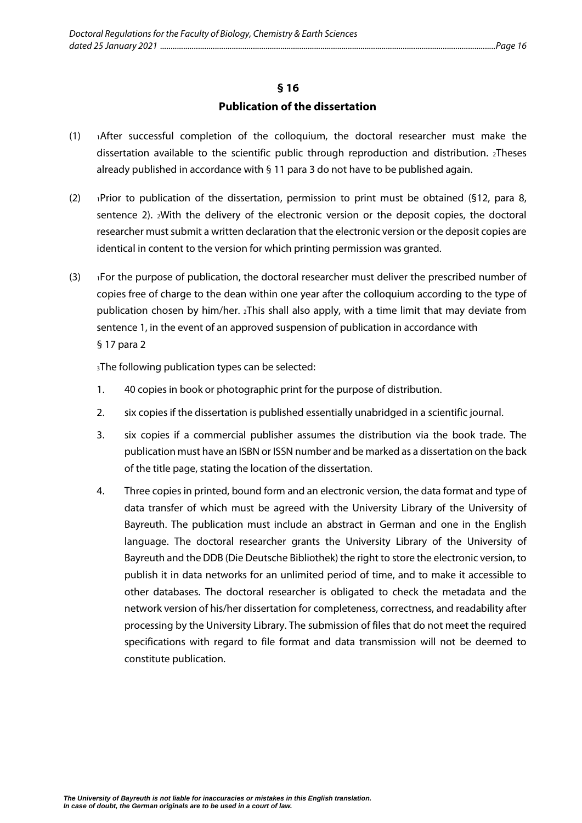#### **Publication of the dissertation**

- <span id="page-17-0"></span> $(1)$  1After successful completion of the colloquium, the doctoral researcher must make the dissertation available to the scientific public through reproduction and distribution. 2Theses already published in accordance with § 11 para 3 do not have to be published again.
- (2) 1Prior to publication of the dissertation, permission to print must be obtained (§12, para 8, sentence 2). 2With the delivery of the electronic version or the deposit copies, the doctoral researcher must submit a written declaration that the electronic version or the deposit copies are identical in content to the version for which printing permission was granted.
- (3) 1For the purpose of publication, the doctoral researcher must deliver the prescribed number of copies free of charge to the dean within one year after the colloquium according to the type of publication chosen by him/her. 2This shall also apply, with a time limit that may deviate from sentence 1, in the event of an approved suspension of publication in accordance with § 17 para 2

3The following publication types can be selected:

- 1. 40 copies in book or photographic print for the purpose of distribution.
- 2. six copies if the dissertation is published essentially unabridged in a scientific journal.
- 3. six copies if a commercial publisher assumes the distribution via the book trade. The publication must have an ISBN or ISSN number and be marked as a dissertation on the back of the title page, stating the location of the dissertation.
- 4. Three copies in printed, bound form and an electronic version, the data format and type of data transfer of which must be agreed with the University Library of the University of Bayreuth. The publication must include an abstract in German and one in the English language. The doctoral researcher grants the University Library of the University of Bayreuth and the DDB (Die Deutsche Bibliothek) the right to store the electronic version, to publish it in data networks for an unlimited period of time, and to make it accessible to other databases. The doctoral researcher is obligated to check the metadata and the network version of his/her dissertation for completeness, correctness, and readability after processing by the University Library. The submission of files that do not meet the required specifications with regard to file format and data transmission will not be deemed to constitute publication.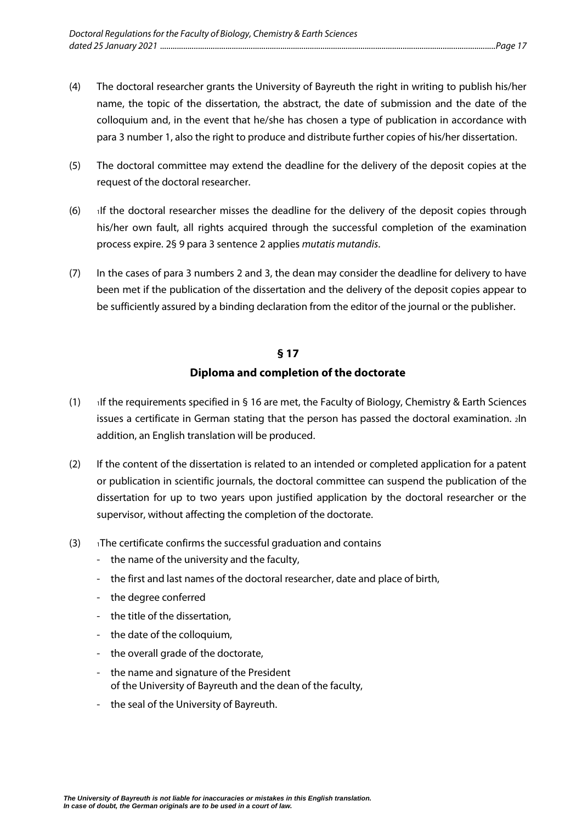- (4) The doctoral researcher grants the University of Bayreuth the right in writing to publish his/her name, the topic of the dissertation, the abstract, the date of submission and the date of the colloquium and, in the event that he/she has chosen a type of publication in accordance with para 3 number 1, also the right to produce and distribute further copies of his/her dissertation.
- (5) The doctoral committee may extend the deadline for the delivery of the deposit copies at the request of the doctoral researcher.
- $(6)$  If the doctoral researcher misses the deadline for the delivery of the deposit copies through his/her own fault, all rights acquired through the successful completion of the examination process expire. 2§ 9 para 3 sentence 2 applies *mutatis mutandis*.
- (7) In the cases of para 3 numbers 2 and 3, the dean may consider the deadline for delivery to have been met if the publication of the dissertation and the delivery of the deposit copies appear to be sufficiently assured by a binding declaration from the editor of the journal or the publisher.

#### **Diploma and completion of the doctorate**

- <span id="page-18-0"></span>(1) 1If the requirements specified in § 16 are met, the Faculty of Biology, Chemistry & Earth Sciences issues a certificate in German stating that the person has passed the doctoral examination. 2In addition, an English translation will be produced.
- (2) If the content of the dissertation is related to an intended or completed application for a patent or publication in scientific journals, the doctoral committee can suspend the publication of the dissertation for up to two years upon justified application by the doctoral researcher or the supervisor, without affecting the completion of the doctorate.
- $(3)$  1The certificate confirms the successful graduation and contains
	- the name of the university and the faculty,
	- the first and last names of the doctoral researcher, date and place of birth,
	- the degree conferred
	- the title of the dissertation,
	- the date of the colloquium,
	- the overall grade of the doctorate,
	- the name and signature of the President of the University of Bayreuth and the dean of the faculty,
	- the seal of the University of Bayreuth.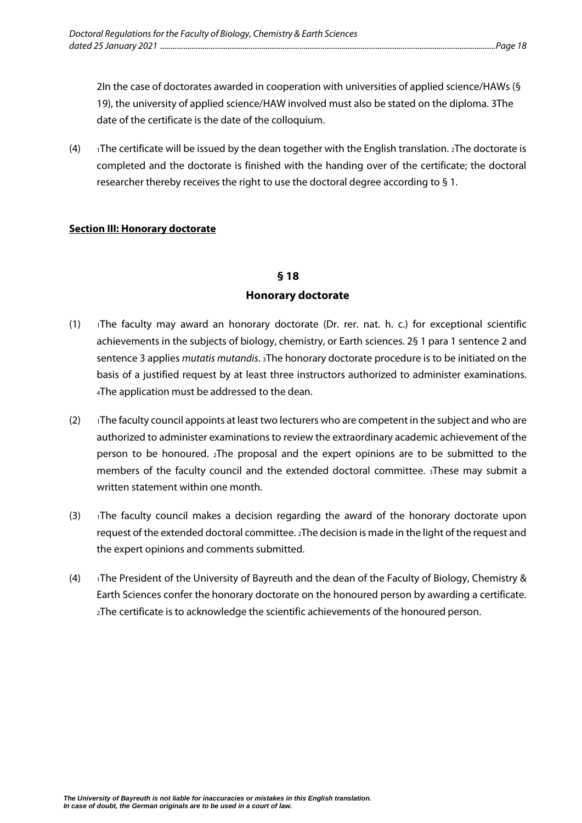2In the case of doctorates awarded in cooperation with universities of applied science/HAWs (§ 19), the university of applied science/HAW involved must also be stated on the diploma. 3The date of the certificate is the date of the colloquium.

(4)  $\rightarrow$  1The certificate will be issued by the dean together with the English translation.  $\alpha$ The doctorate is completed and the doctorate is finished with the handing over of the certificate; the doctoral researcher thereby receives the right to use the doctoral degree according to § 1.

#### <span id="page-19-1"></span><span id="page-19-0"></span>**Section III: Honorary doctorate**

# **§ 18 Honorary doctorate**

- (1)  $\overline{1}$  1The faculty may award an honorary doctorate (Dr. rer. nat. h. c.) for exceptional scientific achievements in the subjects of biology, chemistry, or Earth sciences. 2§ 1 para 1 sentence 2 and sentence 3 applies *mutatis mutandis*. 3The honorary doctorate procedure is to be initiated on the basis of a justified request by at least three instructors authorized to administer examinations. 4The application must be addressed to the dean.
- $(2)$  1The faculty council appoints at least two lecturers who are competent in the subject and who are authorized to administer examinations to review the extraordinary academic achievement of the person to be honoured. 2The proposal and the expert opinions are to be submitted to the members of the faculty council and the extended doctoral committee. 3These may submit a written statement within one month.
- (3)  $\rightarrow$  1The faculty council makes a decision regarding the award of the honorary doctorate upon request of the extended doctoral committee. 2The decision is made in the light of the request and the expert opinions and comments submitted.
- (4) 1The President of the University of Bayreuth and the dean of the Faculty of Biology, Chemistry & Earth Sciences confer the honorary doctorate on the honoured person by awarding a certificate. 2The certificate is to acknowledge the scientific achievements of the honoured person.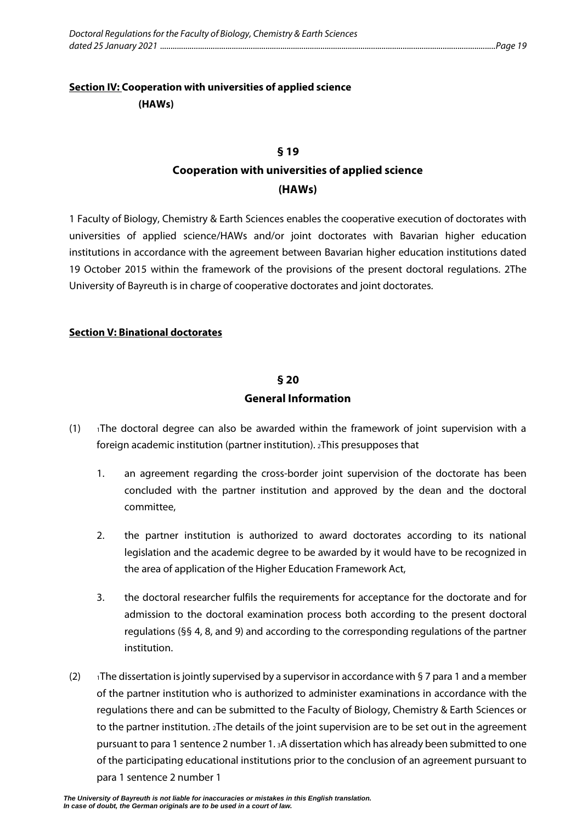## <span id="page-20-1"></span><span id="page-20-0"></span>**Section IV: Cooperation with universities of applied science (HAWs)**

#### **§ 19**

# **Cooperation with universities of applied science (HAWs)**

1 Faculty of Biology, Chemistry & Earth Sciences enables the cooperative execution of doctorates with universities of applied science/HAWs and/or joint doctorates with Bavarian higher education institutions in accordance with the agreement between Bavarian higher education institutions dated 19 October 2015 within the framework of the provisions of the present doctoral regulations. 2The University of Bayreuth is in charge of cooperative doctorates and joint doctorates.

#### <span id="page-20-3"></span><span id="page-20-2"></span>**Section V: Binational doctorates**

#### **§ 20**

#### **General Information**

- $(1)$  The doctoral degree can also be awarded within the framework of joint supervision with a foreign academic institution (partner institution). 2This presupposes that
	- 1. an agreement regarding the cross-border joint supervision of the doctorate has been concluded with the partner institution and approved by the dean and the doctoral committee,
	- 2. the partner institution is authorized to award doctorates according to its national legislation and the academic degree to be awarded by it would have to be recognized in the area of application of the Higher Education Framework Act,
	- 3. the doctoral researcher fulfils the requirements for acceptance for the doctorate and for admission to the doctoral examination process both according to the present doctoral regulations (§§ 4, 8, and 9) and according to the corresponding regulations of the partner institution.
- (2)  $\blacksquare$  1The dissertation is jointly supervised by a supervisor in accordance with § 7 para 1 and a member of the partner institution who is authorized to administer examinations in accordance with the regulations there and can be submitted to the Faculty of Biology, Chemistry & Earth Sciences or to the partner institution. 2The details of the joint supervision are to be set out in the agreement pursuant to para 1 sentence 2 number 1. 3A dissertation which has already been submitted to one of the participating educational institutions prior to the conclusion of an agreement pursuant to para 1 sentence 2 number 1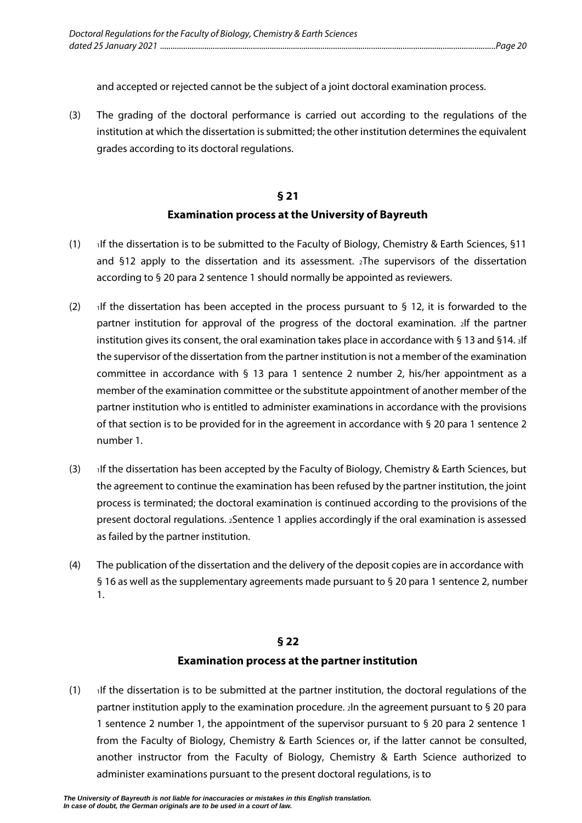and accepted or rejected cannot be the subject of a joint doctoral examination process.

(3) The grading of the doctoral performance is carried out according to the regulations of the institution at which the dissertation is submitted; the other institution determines the equivalent grades according to its doctoral regulations.

# **§ 21 Examination process at the University of Bayreuth**

- <span id="page-21-0"></span>(1) If the dissertation is to be submitted to the Faculty of Biology, Chemistry & Earth Sciences, §11 and §12 apply to the dissertation and its assessment. 2The supervisors of the dissertation according to § 20 para 2 sentence 1 should normally be appointed as reviewers.
- (2) If the dissertation has been accepted in the process pursuant to  $\frac{1}{2}$  12, it is forwarded to the partner institution for approval of the progress of the doctoral examination. 2If the partner institution gives its consent, the oral examination takes place in accordance with § 13 and §14. 3If the supervisor of the dissertation from the partner institution is not a member of the examination committee in accordance with § 13 para 1 sentence 2 number 2, his/her appointment as a member of the examination committee or the substitute appointment of another member of the partner institution who is entitled to administer examinations in accordance with the provisions of that section is to be provided for in the agreement in accordance with § 20 para 1 sentence 2 number 1.
- (3) 1If the dissertation has been accepted by the Faculty of Biology, Chemistry & Earth Sciences, but the agreement to continue the examination has been refused by the partner institution, the joint process is terminated; the doctoral examination is continued according to the provisions of the present doctoral regulations. 2Sentence 1 applies accordingly if the oral examination is assessed as failed by the partner institution.
- (4) The publication of the dissertation and the delivery of the deposit copies are in accordance with § 16 as well as the supplementary agreements made pursuant to § 20 para 1 sentence 2, number 1.

#### **§ 22**

#### **Examination process at the partner institution**

<span id="page-21-1"></span> $(1)$  If the dissertation is to be submitted at the partner institution, the doctoral regulations of the partner institution apply to the examination procedure. 2In the agreement pursuant to § 20 para 1 sentence 2 number 1, the appointment of the supervisor pursuant to § 20 para 2 sentence 1 from the Faculty of Biology, Chemistry & Earth Sciences or, if the latter cannot be consulted, another instructor from the Faculty of Biology, Chemistry & Earth Science authorized to administer examinations pursuant to the present doctoral regulations, is to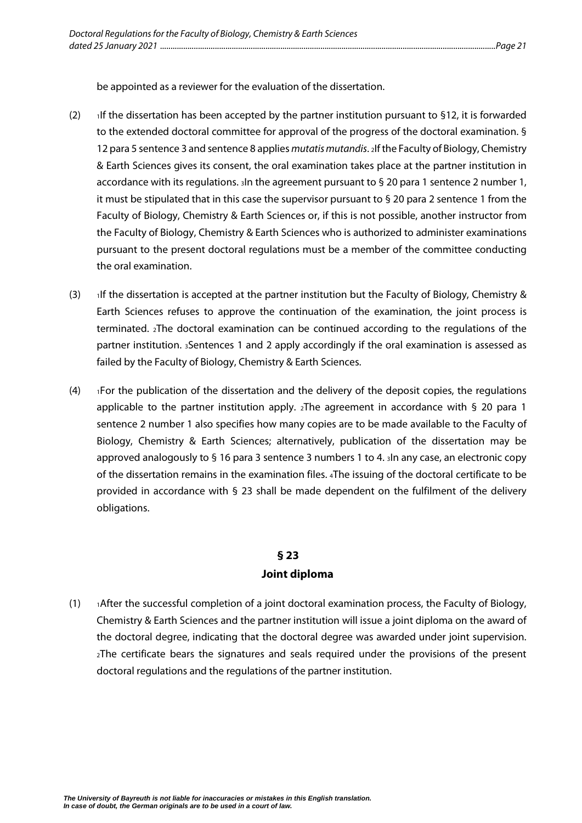be appointed as a reviewer for the evaluation of the dissertation.

- (2)  $\cdot$  1If the dissertation has been accepted by the partner institution pursuant to §12, it is forwarded to the extended doctoral committee for approval of the progress of the doctoral examination. § 12 para 5 sentence 3 and sentence 8 applies *mutatis mutandis*. 2If the Faculty of Biology, Chemistry & Earth Sciences gives its consent, the oral examination takes place at the partner institution in accordance with its regulations. 3In the agreement pursuant to § 20 para 1 sentence 2 number 1, it must be stipulated that in this case the supervisor pursuant to § 20 para 2 sentence 1 from the Faculty of Biology, Chemistry & Earth Sciences or, if this is not possible, another instructor from the Faculty of Biology, Chemistry & Earth Sciences who is authorized to administer examinations pursuant to the present doctoral regulations must be a member of the committee conducting the oral examination.
- (3) 1If the dissertation is accepted at the partner institution but the Faculty of Biology, Chemistry & Earth Sciences refuses to approve the continuation of the examination, the joint process is terminated. 2The doctoral examination can be continued according to the regulations of the partner institution. 3Sentences 1 and 2 apply accordingly if the oral examination is assessed as failed by the Faculty of Biology, Chemistry & Earth Sciences.
- $(4)$  1For the publication of the dissertation and the delivery of the deposit copies, the regulations applicable to the partner institution apply.  $_2$ The agreement in accordance with § 20 para 1 sentence 2 number 1 also specifies how many copies are to be made available to the Faculty of Biology, Chemistry & Earth Sciences; alternatively, publication of the dissertation may be approved analogously to § 16 para 3 sentence 3 numbers 1 to 4. 3In any case, an electronic copy of the dissertation remains in the examination files. 4The issuing of the doctoral certificate to be provided in accordance with § 23 shall be made dependent on the fulfilment of the delivery obligations.

### **§ 23 Joint diploma**

<span id="page-22-0"></span> $(1)$  1After the successful completion of a joint doctoral examination process, the Faculty of Biology, Chemistry & Earth Sciences and the partner institution will issue a joint diploma on the award of the doctoral degree, indicating that the doctoral degree was awarded under joint supervision. 2The certificate bears the signatures and seals required under the provisions of the present doctoral regulations and the regulations of the partner institution.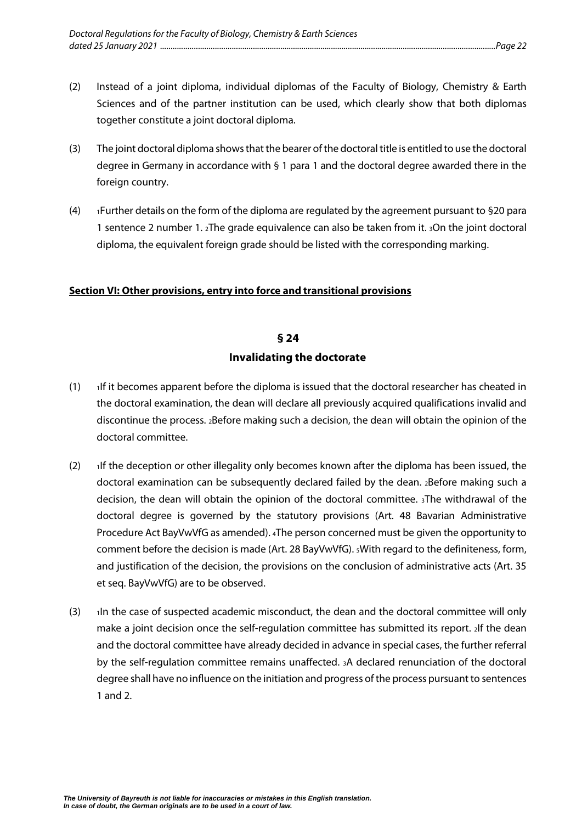- (2) Instead of a joint diploma, individual diplomas of the Faculty of Biology, Chemistry & Earth Sciences and of the partner institution can be used, which clearly show that both diplomas together constitute a joint doctoral diploma.
- (3) The joint doctoral diploma shows that the bearer of the doctoral title is entitled to use the doctoral degree in Germany in accordance with § 1 para 1 and the doctoral degree awarded there in the foreign country.
- $(4)$  1 Further details on the form of the diploma are regulated by the agreement pursuant to §20 para 1 sentence 2 number 1. 2The grade equivalence can also be taken from it. 3On the joint doctoral diploma, the equivalent foreign grade should be listed with the corresponding marking.

#### <span id="page-23-1"></span><span id="page-23-0"></span>**Section VI: Other provisions, entry into force and transitional provisions**

#### **§ 24**

#### **Invalidating the doctorate**

- $(1)$  If it becomes apparent before the diploma is issued that the doctoral researcher has cheated in the doctoral examination, the dean will declare all previously acquired qualifications invalid and discontinue the process. 2Before making such a decision, the dean will obtain the opinion of the doctoral committee.
- (2)  $\rightarrow$  1If the deception or other illegality only becomes known after the diploma has been issued, the doctoral examination can be subsequently declared failed by the dean. 2Before making such a decision, the dean will obtain the opinion of the doctoral committee. 3The withdrawal of the doctoral degree is governed by the statutory provisions (Art. 48 Bavarian Administrative Procedure Act BayVwVfG as amended). 4The person concerned must be given the opportunity to comment before the decision is made (Art. 28 BayVwVfG). 5With regard to the definiteness, form, and justification of the decision, the provisions on the conclusion of administrative acts (Art. 35 et seq. BayVwVfG) are to be observed.
- $(3)$  1In the case of suspected academic misconduct, the dean and the doctoral committee will only make a joint decision once the self-regulation committee has submitted its report. 2If the dean and the doctoral committee have already decided in advance in special cases, the further referral by the self-regulation committee remains unaffected. 3A declared renunciation of the doctoral degree shall have no influence on the initiation and progress of the process pursuant to sentences 1 and 2.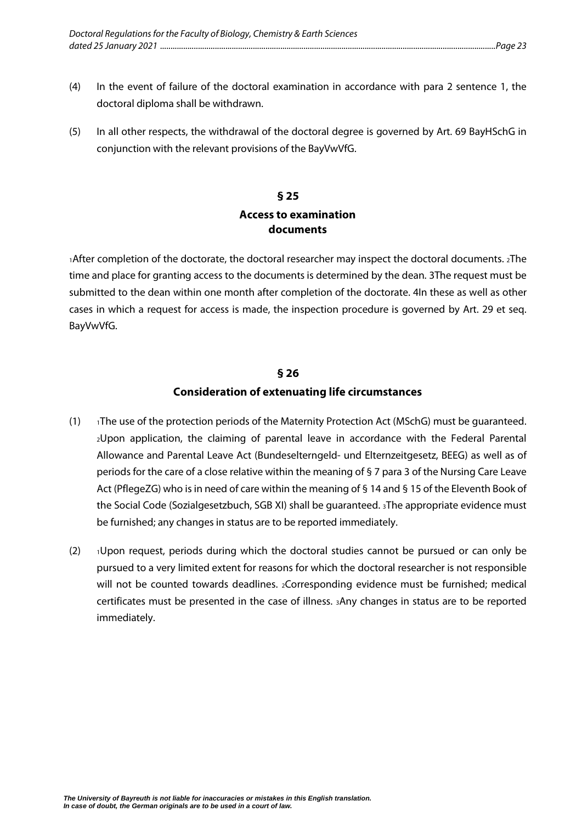- <span id="page-24-2"></span>(4) In the event of failure of the doctoral examination in accordance with para 2 sentence 1, the doctoral diploma shall be withdrawn.
- <span id="page-24-0"></span>(5) In all other respects, the withdrawal of the doctoral degree is governed by Art. 69 BayHSchG in conjunction with the relevant provisions of the BayVwVfG.

### **§ 25 Access to examination documents**

1After completion of the doctorate, the doctoral researcher may inspect the doctoral documents. 2The time and place for granting access to the documents is determined by the dean. 3The request must be submitted to the dean within one month after completion of the doctorate. 4In these as well as other cases in which a request for access is made, the inspection procedure is governed by Art. 29 et seq. BayVwVfG.

#### **§ 26**

#### **Consideration of extenuating life circumstances**

- <span id="page-24-1"></span>(1) 1The use of the protection periods of the Maternity Protection Act (MSchG) must be guaranteed. 2Upon application, the claiming of parental leave in accordance with the Federal Parental Allowance and Parental Leave Act (Bundeselterngeld- und Elternzeitgesetz, BEEG) as well as of periods for the care of a close relative within the meaning of § 7 para 3 of the Nursing Care Leave Act (PflegeZG) who is in need of care within the meaning of § 14 and § 15 of the Eleventh Book of the Social Code (Sozialgesetzbuch, SGB XI) shall be guaranteed. 3The appropriate evidence must be furnished; any changes in status are to be reported immediately.
- $(2)$   $\rightarrow$  Upon request, periods during which the doctoral studies cannot be pursued or can only be pursued to a very limited extent for reasons for which the doctoral researcher is not responsible will not be counted towards deadlines. 2Corresponding evidence must be furnished; medical certificates must be presented in the case of illness. 3Any changes in status are to be reported immediately.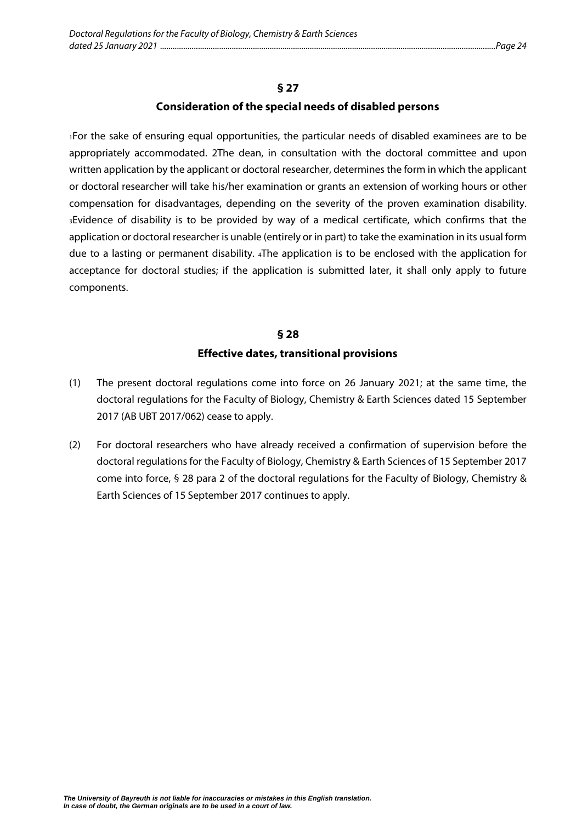#### **Consideration of the special needs of disabled persons**

1For the sake of ensuring equal opportunities, the particular needs of disabled examinees are to be appropriately accommodated. 2The dean, in consultation with the doctoral committee and upon written application by the applicant or doctoral researcher, determines the form in which the applicant or doctoral researcher will take his/her examination or grants an extension of working hours or other compensation for disadvantages, depending on the severity of the proven examination disability. 3Evidence of disability is to be provided by way of a medical certificate, which confirms that the application or doctoral researcher is unable (entirely or in part) to take the examination in its usual form due to a lasting or permanent disability. 4The application is to be enclosed with the application for acceptance for doctoral studies; if the application is submitted later, it shall only apply to future components.

## **§ 28 Effective dates, transitional provisions**

- <span id="page-25-0"></span>(1) The present doctoral regulations come into force on 26 January 2021; at the same time, the doctoral regulations for the Faculty of Biology, Chemistry & Earth Sciences dated 15 September 2017 (AB UBT 2017/062) cease to apply.
- (2) For doctoral researchers who have already received a confirmation of supervision before the doctoral regulations for the Faculty of Biology, Chemistry & Earth Sciences of 15 September 2017 come into force, § 28 para 2 of the doctoral regulations for the Faculty of Biology, Chemistry & Earth Sciences of 15 September 2017 continues to apply.